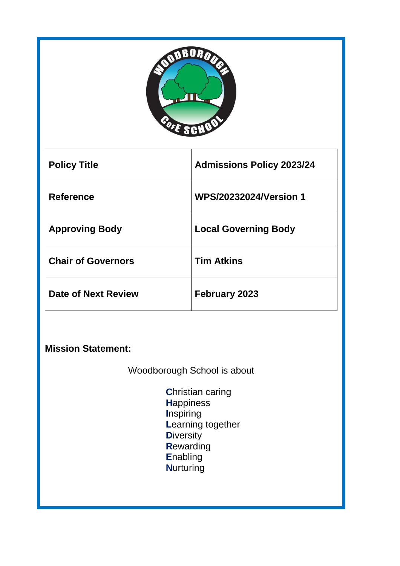

| <b>Policy Title</b>       | <b>Admissions Policy 2023/24</b> |
|---------------------------|----------------------------------|
| <b>Reference</b>          | <b>WPS/20232024/Version 1</b>    |
| <b>Approving Body</b>     | <b>Local Governing Body</b>      |
| <b>Chair of Governors</b> | <b>Tim Atkins</b>                |
| Date of Next Review       | <b>February 2023</b>             |

**Mission Statement:** 

Woodborough School is about

**C**hristian caring **H**appiness **I**nspiring **L**earning together **D**iversity **R**ewarding **E**nabling **N**urturing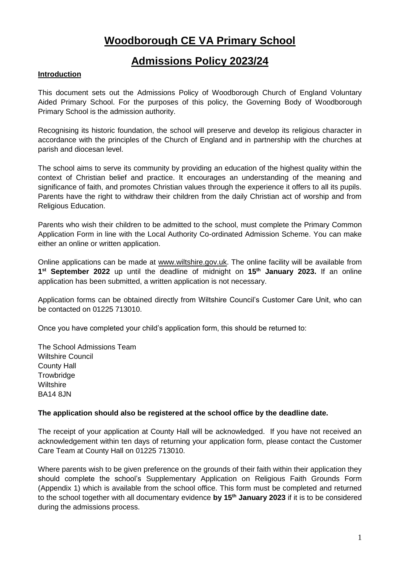# **Woodborough CE VA Primary School**

# **Admissions Policy 2023/24**

# **Introduction**

This document sets out the Admissions Policy of Woodborough Church of England Voluntary Aided Primary School. For the purposes of this policy, the Governing Body of Woodborough Primary School is the admission authority.

Recognising its historic foundation, the school will preserve and develop its religious character in accordance with the principles of the Church of England and in partnership with the churches at parish and diocesan level.

The school aims to serve its community by providing an education of the highest quality within the context of Christian belief and practice. It encourages an understanding of the meaning and significance of faith, and promotes Christian values through the experience it offers to all its pupils. Parents have the right to withdraw their children from the daily Christian act of worship and from Religious Education.

Parents who wish their children to be admitted to the school, must complete the Primary Common Application Form in line with the Local Authority Co-ordinated Admission Scheme. You can make either an online or written application.

Online applications can be made at [www.wiltshire.gov.uk.](http://www.wiltshire.gov.uk/) The online facility will be available from **1 st September 2022** up until the deadline of midnight on **15 th January 2023.** If an online application has been submitted, a written application is not necessary.

Application forms can be obtained directly from Wiltshire Council's Customer Care Unit, who can be contacted on 01225 713010.

Once you have completed your child's application form, this should be returned to:

The School Admissions Team Wiltshire Council County Hall **Trowbridge Wiltshire** BA14 8JN

## **The application should also be registered at the school office by the deadline date.**

The receipt of your application at County Hall will be acknowledged. If you have not received an acknowledgement within ten days of returning your application form, please contact the Customer Care Team at County Hall on 01225 713010.

Where parents wish to be given preference on the grounds of their faith within their application they should complete the school's Supplementary Application on Religious Faith Grounds Form (Appendix 1) which is available from the school office. This form must be completed and returned to the school together with all documentary evidence **by 15th January 2023** if it is to be considered during the admissions process.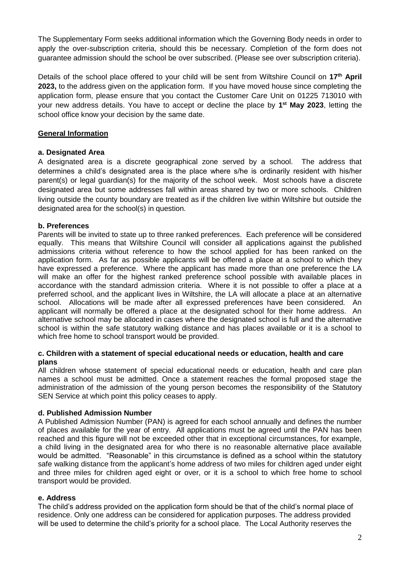The Supplementary Form seeks additional information which the Governing Body needs in order to apply the over-subscription criteria, should this be necessary. Completion of the form does not guarantee admission should the school be over subscribed. (Please see over subscription criteria).

Details of the school place offered to your child will be sent from Wiltshire Council on 17<sup>th</sup> April **2023,** to the address given on the application form. If you have moved house since completing the application form, please ensure that you contact the Customer Care Unit on 01225 713010 with your new address details. You have to accept or decline the place by **1 st May 2023**, letting the school office know your decision by the same date.

## **General Information**

#### **a. Designated Area**

A designated area is a discrete geographical zone served by a school. The address that determines a child's designated area is the place where s/he is ordinarily resident with his/her parent(s) or legal guardian(s) for the majority of the school week. Most schools have a discrete designated area but some addresses fall within areas shared by two or more schools. Children living outside the county boundary are treated as if the children live within Wiltshire but outside the designated area for the school(s) in question.

## **b. Preferences**

Parents will be invited to state up to three ranked preferences. Each preference will be considered equally. This means that Wiltshire Council will consider all applications against the published admissions criteria without reference to how the school applied for has been ranked on the application form. As far as possible applicants will be offered a place at a school to which they have expressed a preference. Where the applicant has made more than one preference the LA will make an offer for the highest ranked preference school possible with available places in accordance with the standard admission criteria. Where it is not possible to offer a place at a preferred school, and the applicant lives in Wiltshire, the LA will allocate a place at an alternative school. Allocations will be made after all expressed preferences have been considered. An applicant will normally be offered a place at the designated school for their home address. An alternative school may be allocated in cases where the designated school is full and the alternative school is within the safe statutory walking distance and has places available or it is a school to which free home to school transport would be provided.

#### **c. Children with a statement of special educational needs or education, health and care plans**

All children whose statement of special educational needs or education, health and care plan names a school must be admitted. Once a statement reaches the formal proposed stage the administration of the admission of the young person becomes the responsibility of the Statutory SEN Service at which point this policy ceases to apply.

#### **d. Published Admission Number**

A Published Admission Number (PAN) is agreed for each school annually and defines the number of places available for the year of entry. All applications must be agreed until the PAN has been reached and this figure will not be exceeded other that in exceptional circumstances, for example, a child living in the designated area for who there is no reasonable alternative place available would be admitted. "Reasonable" in this circumstance is defined as a school within the statutory safe walking distance from the applicant's home address of two miles for children aged under eight and three miles for children aged eight or over, or it is a school to which free home to school transport would be provided.

#### **e. Address**

The child's address provided on the application form should be that of the child's normal place of residence. Only one address can be considered for application purposes. The address provided will be used to determine the child's priority for a school place. The Local Authority reserves the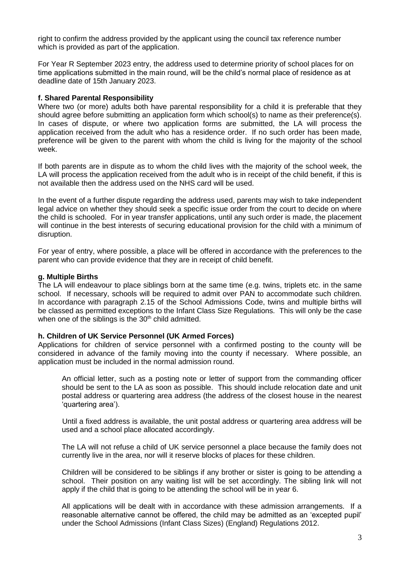right to confirm the address provided by the applicant using the council tax reference number which is provided as part of the application.

For Year R September 2023 entry, the address used to determine priority of school places for on time applications submitted in the main round, will be the child's normal place of residence as at deadline date of 15th January 2023.

#### **f. Shared Parental Responsibility**

Where two (or more) adults both have parental responsibility for a child it is preferable that they should agree before submitting an application form which school(s) to name as their preference(s). In cases of dispute, or where two application forms are submitted, the LA will process the application received from the adult who has a residence order. If no such order has been made, preference will be given to the parent with whom the child is living for the majority of the school week.

If both parents are in dispute as to whom the child lives with the majority of the school week, the LA will process the application received from the adult who is in receipt of the child benefit, if this is not available then the address used on the NHS card will be used.

In the event of a further dispute regarding the address used, parents may wish to take independent legal advice on whether they should seek a specific issue order from the court to decide on where the child is schooled. For in year transfer applications, until any such order is made, the placement will continue in the best interests of securing educational provision for the child with a minimum of disruption.

For year of entry, where possible, a place will be offered in accordance with the preferences to the parent who can provide evidence that they are in receipt of child benefit.

#### **g. Multiple Births**

The LA will endeavour to place siblings born at the same time (e.g. twins, triplets etc. in the same school. If necessary, schools will be required to admit over PAN to accommodate such children. In accordance with paragraph 2.15 of the School Admissions Code, twins and multiple births will be classed as permitted exceptions to the Infant Class Size Regulations. This will only be the case when one of the siblings is the  $30<sup>th</sup>$  child admitted.

#### **h. Children of UK Service Personnel (UK Armed Forces)**

Applications for children of service personnel with a confirmed posting to the county will be considered in advance of the family moving into the county if necessary. Where possible, an application must be included in the normal admission round.

An official letter, such as a posting note or letter of support from the commanding officer should be sent to the LA as soon as possible. This should include relocation date and unit postal address or quartering area address (the address of the closest house in the nearest 'quartering area').

Until a fixed address is available, the unit postal address or quartering area address will be used and a school place allocated accordingly.

The LA will not refuse a child of UK service personnel a place because the family does not currently live in the area, nor will it reserve blocks of places for these children.

Children will be considered to be siblings if any brother or sister is going to be attending a school. Their position on any waiting list will be set accordingly. The sibling link will not apply if the child that is going to be attending the school will be in year 6.

All applications will be dealt with in accordance with these admission arrangements. If a reasonable alternative cannot be offered, the child may be admitted as an 'excepted pupil' under the School Admissions (Infant Class Sizes) (England) Regulations 2012.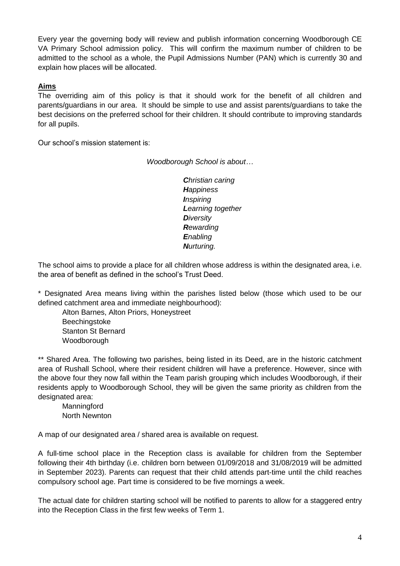Every year the governing body will review and publish information concerning Woodborough CE VA Primary School admission policy. This will confirm the maximum number of children to be admitted to the school as a whole, the Pupil Admissions Number (PAN) which is currently 30 and explain how places will be allocated.

## **Aims**

The overriding aim of this policy is that it should work for the benefit of all children and parents/guardians in our area. It should be simple to use and assist parents/guardians to take the best decisions on the preferred school for their children. It should contribute to improving standards for all pupils.

Our school's mission statement is:

*Woodborough School is about…*

*Christian caring Happiness Inspiring Learning together Diversity Rewarding Enabling Nurturing.*

The school aims to provide a place for all children whose address is within the designated area, i.e. the area of benefit as defined in the school's Trust Deed.

\* Designated Area means living within the parishes listed below (those which used to be our defined catchment area and immediate neighbourhood):

Alton Barnes, Alton Priors, Honeystreet Beechingstoke Stanton St Bernard Woodborough

\*\* Shared Area. The following two parishes, being listed in its Deed, are in the historic catchment area of Rushall School, where their resident children will have a preference. However, since with the above four they now fall within the Team parish grouping which includes Woodborough, if their residents apply to Woodborough School, they will be given the same priority as children from the designated area:

**Manningford** North Newnton

A map of our designated area / shared area is available on request.

A full-time school place in the Reception class is available for children from the September following their 4th birthday (i.e. children born between 01/09/2018 and 31/08/2019 will be admitted in September 2023). Parents can request that their child attends part-time until the child reaches compulsory school age. Part time is considered to be five mornings a week.

The actual date for children starting school will be notified to parents to allow for a staggered entry into the Reception Class in the first few weeks of Term 1.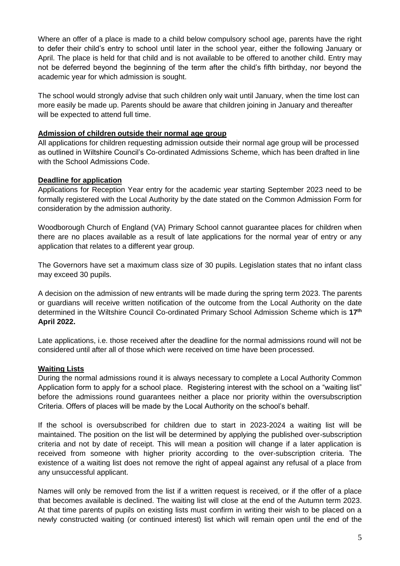Where an offer of a place is made to a child below compulsory school age, parents have the right to defer their child's entry to school until later in the school year, either the following January or April. The place is held for that child and is not available to be offered to another child. Entry may not be deferred beyond the beginning of the term after the child's fifth birthday, nor beyond the academic year for which admission is sought.

The school would strongly advise that such children only wait until January, when the time lost can more easily be made up. Parents should be aware that children joining in January and thereafter will be expected to attend full time.

#### **Admission of children outside their normal age group**

All applications for children requesting admission outside their normal age group will be processed as outlined in Wiltshire Council's Co-ordinated Admissions Scheme, which has been drafted in line with the School Admissions Code.

#### **Deadline for application**

Applications for Reception Year entry for the academic year starting September 2023 need to be formally registered with the Local Authority by the date stated on the Common Admission Form for consideration by the admission authority.

Woodborough Church of England (VA) Primary School cannot guarantee places for children when there are no places available as a result of late applications for the normal year of entry or any application that relates to a different year group.

The Governors have set a maximum class size of 30 pupils. Legislation states that no infant class may exceed 30 pupils.

A decision on the admission of new entrants will be made during the spring term 2023. The parents or guardians will receive written notification of the outcome from the Local Authority on the date determined in the Wiltshire Council Co-ordinated Primary School Admission Scheme which is **17 th April 2022.**

Late applications, i.e. those received after the deadline for the normal admissions round will not be considered until after all of those which were received on time have been processed.

#### **Waiting Lists**

During the normal admissions round it is always necessary to complete a Local Authority Common Application form to apply for a school place. Registering interest with the school on a "waiting list" before the admissions round guarantees neither a place nor priority within the oversubscription Criteria. Offers of places will be made by the Local Authority on the school's behalf.

If the school is oversubscribed for children due to start in 2023-2024 a waiting list will be maintained. The position on the list will be determined by applying the published over-subscription criteria and not by date of receipt. This will mean a position will change if a later application is received from someone with higher priority according to the over-subscription criteria. The existence of a waiting list does not remove the right of appeal against any refusal of a place from any unsuccessful applicant.

Names will only be removed from the list if a written request is received, or if the offer of a place that becomes available is declined. The waiting list will close at the end of the Autumn term 2023. At that time parents of pupils on existing lists must confirm in writing their wish to be placed on a newly constructed waiting (or continued interest) list which will remain open until the end of the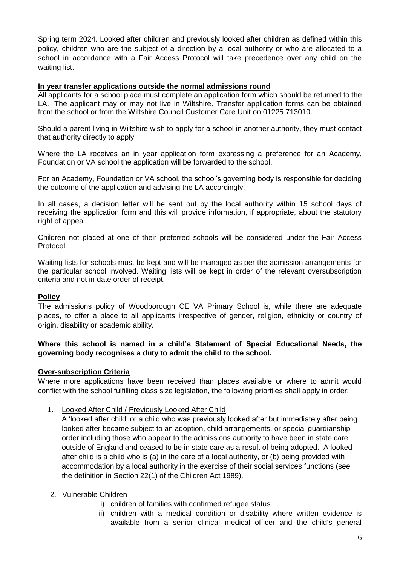Spring term 2024*.* Looked after children and previously looked after children as defined within this policy, children who are the subject of a direction by a local authority or who are allocated to a school in accordance with a Fair Access Protocol will take precedence over any child on the waiting list.

#### **In year transfer applications outside the normal admissions round**

All applicants for a school place must complete an application form which should be returned to the LA. The applicant may or may not live in Wiltshire. Transfer application forms can be obtained from the school or from the Wiltshire Council Customer Care Unit on 01225 713010.

Should a parent living in Wiltshire wish to apply for a school in another authority, they must contact that authority directly to apply.

Where the LA receives an in year application form expressing a preference for an Academy, Foundation or VA school the application will be forwarded to the school.

For an Academy, Foundation or VA school, the school's governing body is responsible for deciding the outcome of the application and advising the LA accordingly.

In all cases, a decision letter will be sent out by the local authority within 15 school days of receiving the application form and this will provide information, if appropriate, about the statutory right of appeal.

Children not placed at one of their preferred schools will be considered under the Fair Access Protocol.

Waiting lists for schools must be kept and will be managed as per the admission arrangements for the particular school involved. Waiting lists will be kept in order of the relevant oversubscription criteria and not in date order of receipt.

## **Policy**

The admissions policy of Woodborough CE VA Primary School is, while there are adequate places, to offer a place to all applicants irrespective of gender, religion, ethnicity or country of origin, disability or academic ability.

## **Where this school is named in a child's Statement of Special Educational Needs, the governing body recognises a duty to admit the child to the school.**

#### **Over-subscription Criteria**

Where more applications have been received than places available or where to admit would conflict with the school fulfilling class size legislation, the following priorities shall apply in order:

#### 1. Looked After Child / Previously Looked After Child

A 'looked after child' or a child who was previously looked after but immediately after being looked after became subject to an adoption, child arrangements, or special guardianship order including those who appear to the admissions authority to have been in state care outside of England and ceased to be in state care as a result of being adopted. A looked after child is a child who is (a) in the care of a local authority, or (b) being provided with accommodation by a local authority in the exercise of their social services functions (see the definition in Section 22(1) of the Children Act 1989).

#### 2. Vulnerable Children

- i) children of families with confirmed refugee status
- ii) children with a medical condition or disability where written evidence is available from a senior clinical medical officer and the child's general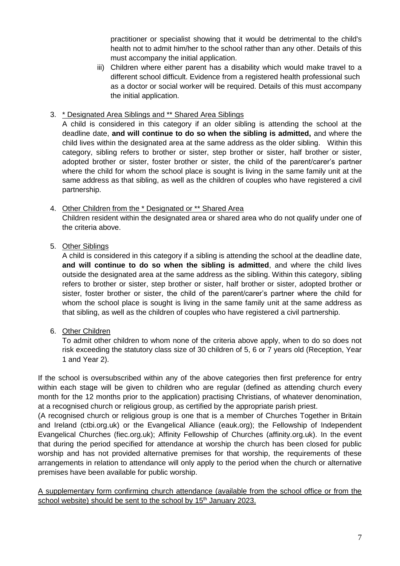practitioner or specialist showing that it would be detrimental to the child's health not to admit him/her to the school rather than any other. Details of this must accompany the initial application.

iii) Children where either parent has a disability which would make travel to a different school difficult. Evidence from a registered health professional such as a doctor or social worker will be required. Details of this must accompany the initial application.

## 3. \* Designated Area Siblings and \*\* Shared Area Siblings

A child is considered in this category if an older sibling is attending the school at the deadline date, **and will continue to do so when the sibling is admitted,** and where the child lives within the designated area at the same address as the older sibling. Within this category, sibling refers to brother or sister, step brother or sister, half brother or sister, adopted brother or sister, foster brother or sister, the child of the parent/carer's partner where the child for whom the school place is sought is living in the same family unit at the same address as that sibling, as well as the children of couples who have registered a civil partnership.

## 4. Other Children from the \* Designated or \*\* Shared Area

Children resident within the designated area or shared area who do not qualify under one of the criteria above.

## 5. Other Siblings

A child is considered in this category if a sibling is attending the school at the deadline date, **and will continue to do so when the sibling is admitted**, and where the child lives outside the designated area at the same address as the sibling. Within this category, sibling refers to brother or sister, step brother or sister, half brother or sister, adopted brother or sister, foster brother or sister, the child of the parent/carer's partner where the child for whom the school place is sought is living in the same family unit at the same address as that sibling, as well as the children of couples who have registered a civil partnership.

## 6. Other Children

To admit other children to whom none of the criteria above apply, when to do so does not risk exceeding the statutory class size of 30 children of 5, 6 or 7 years old (Reception, Year 1 and Year 2).

If the school is oversubscribed within any of the above categories then first preference for entry within each stage will be given to children who are regular (defined as attending church every month for the 12 months prior to the application) practising Christians, of whatever denomination, at a recognised church or religious group, as certified by the appropriate parish priest.

(A recognised church or religious group is one that is a member of Churches Together in Britain and Ireland (ctbi.org.uk) or the Evangelical Alliance (eauk.org); the Fellowship of Independent Evangelical Churches (fiec.org.uk); Affinity Fellowship of Churches (affinity.org.uk). In the event that during the period specified for attendance at worship the church has been closed for public worship and has not provided alternative premises for that worship, the requirements of these arrangements in relation to attendance will only apply to the period when the church or alternative premises have been available for public worship.

A supplementary form confirming church attendance (available from the school office or from the school website) should be sent to the school by 15<sup>th</sup> January 2023.